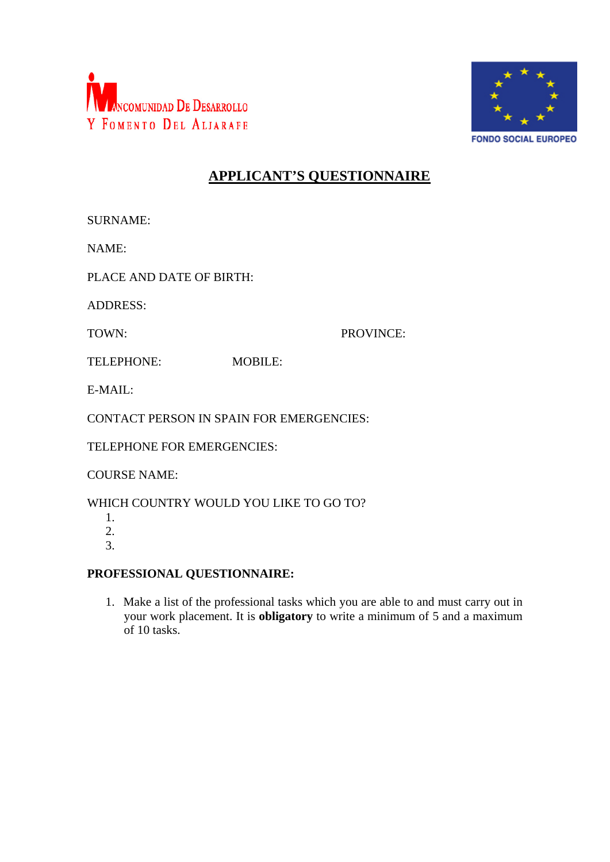



## **APPLICANT'S QUESTIONNAIRE**

NAME:

PLACE AND DATE OF BIRTH:

ADDRESS:

TOWN: PROVINCE:

TELEPHONE: MOBILE:

E-MAIL:

CONTACT PERSON IN SPAIN FOR EMERGENCIES:

TELEPHONE FOR EMERGENCIES:

COURSE NAME:

WHICH COUNTRY WOULD YOU LIKE TO GO TO?

1. 2.

3.

**PROFESSIONAL QUESTIONNAIRE:**

1. Make a list of the professional tasks which you are able to and must carry out in your work placement. It is **obligatory** to write a minimum of 5 and a maximum of 10 tasks.